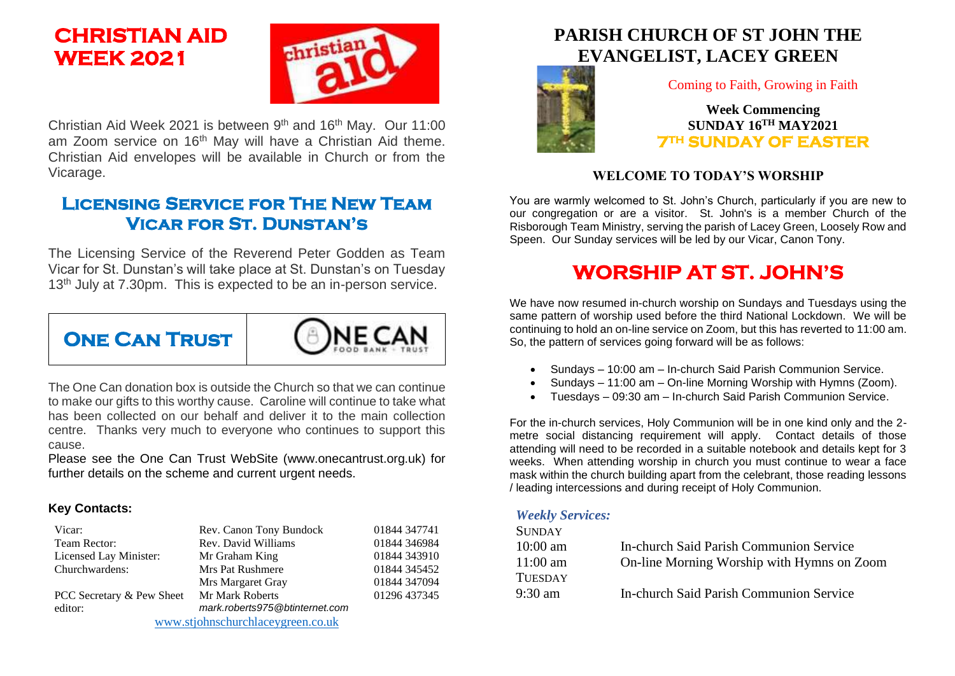# **CHRISTIAN AID WEEK 2021**



Christian Aid Week 2021 is between  $9<sup>th</sup>$  and 16<sup>th</sup> May. Our 11:00 am Zoom service on 16<sup>th</sup> May will have a Christian Aid theme. Christian Aid envelopes will be available in Church or from the Vicarage.

## **Licensing Service for The New Team Vicar for St. Dunstan's**

The Licensing Service of the Reverend Peter Godden as Team Vicar for St. Dunstan's will take place at St. Dunstan's on Tuesday 13<sup>th</sup> July at 7.30pm. This is expected to be an in-person service.



The One Can donation box is outside the Church so that we can continue to make our gifts to this worthy cause. Caroline will continue to take what has been collected on our behalf and deliver it to the main collection centre. Thanks very much to everyone who continues to support this cause.

Please see the One Can Trust WebSite (www.onecantrust.org.uk) for further details on the scheme and current urgent needs.

#### **Key Contacts:**

| Vicar:                            | Rev. Canon Tony Bundock        | 01844 347741 |
|-----------------------------------|--------------------------------|--------------|
| Team Rector:                      | Rev. David Williams            | 01844 346984 |
| Licensed Lay Minister:            | Mr Graham King                 | 01844 343910 |
| Churchwardens:                    | Mrs Pat Rushmere               | 01844 345452 |
|                                   | Mrs Margaret Gray              | 01844 347094 |
| PCC Secretary & Pew Sheet         | Mr Mark Roberts                | 01296 437345 |
| editor:                           | mark.roberts975@btinternet.com |              |
| www.stjohnschurchlaceygreen.co.uk |                                |              |

## **PARISH CHURCH OF ST JOHN THE EVANGELIST, LACEY GREEN**



Coming to Faith, Growing in Faith

**Week Commencing SUNDAY 16TH MAY2021 7TH SUNDAY OF EASTER** 

#### **WELCOME TO TODAY'S WORSHIP**

You are warmly welcomed to St. John's Church, particularly if you are new to our congregation or are a visitor. St. John's is a member Church of the Risborough Team Ministry, serving the parish of Lacey Green, Loosely Row and Speen. Our Sunday services will be led by our Vicar, Canon Tony.

## **WORSHIP AT ST. JOHN'S**

We have now resumed in-church worship on Sundays and Tuesdays using the same pattern of worship used before the third National Lockdown. We will be continuing to hold an on-line service on Zoom, but this has reverted to 11:00 am. So, the pattern of services going forward will be as follows:

- Sundays 10:00 am In-church Said Parish Communion Service.
- Sundays 11:00 am On-line Morning Worship with Hymns (Zoom).
- Tuesdays 09:30 am In-church Said Parish Communion Service.

For the in-church services, Holy Communion will be in one kind only and the 2 metre social distancing requirement will apply. Contact details of those attending will need to be recorded in a suitable notebook and details kept for 3 weeks. When attending worship in church you must continue to wear a face mask within the church building apart from the celebrant, those reading lessons / leading intercessions and during receipt of Holy Communion.

#### *Weekly Services:*

| <b>SUNDAY</b>      |                                            |
|--------------------|--------------------------------------------|
| $10:00 \text{ am}$ | In-church Said Parish Communion Service    |
| $11:00$ am         | On-line Morning Worship with Hymns on Zoom |
| <b>TUESDAY</b>     |                                            |
| $9:30 \text{ am}$  | In-church Said Parish Communion Service    |